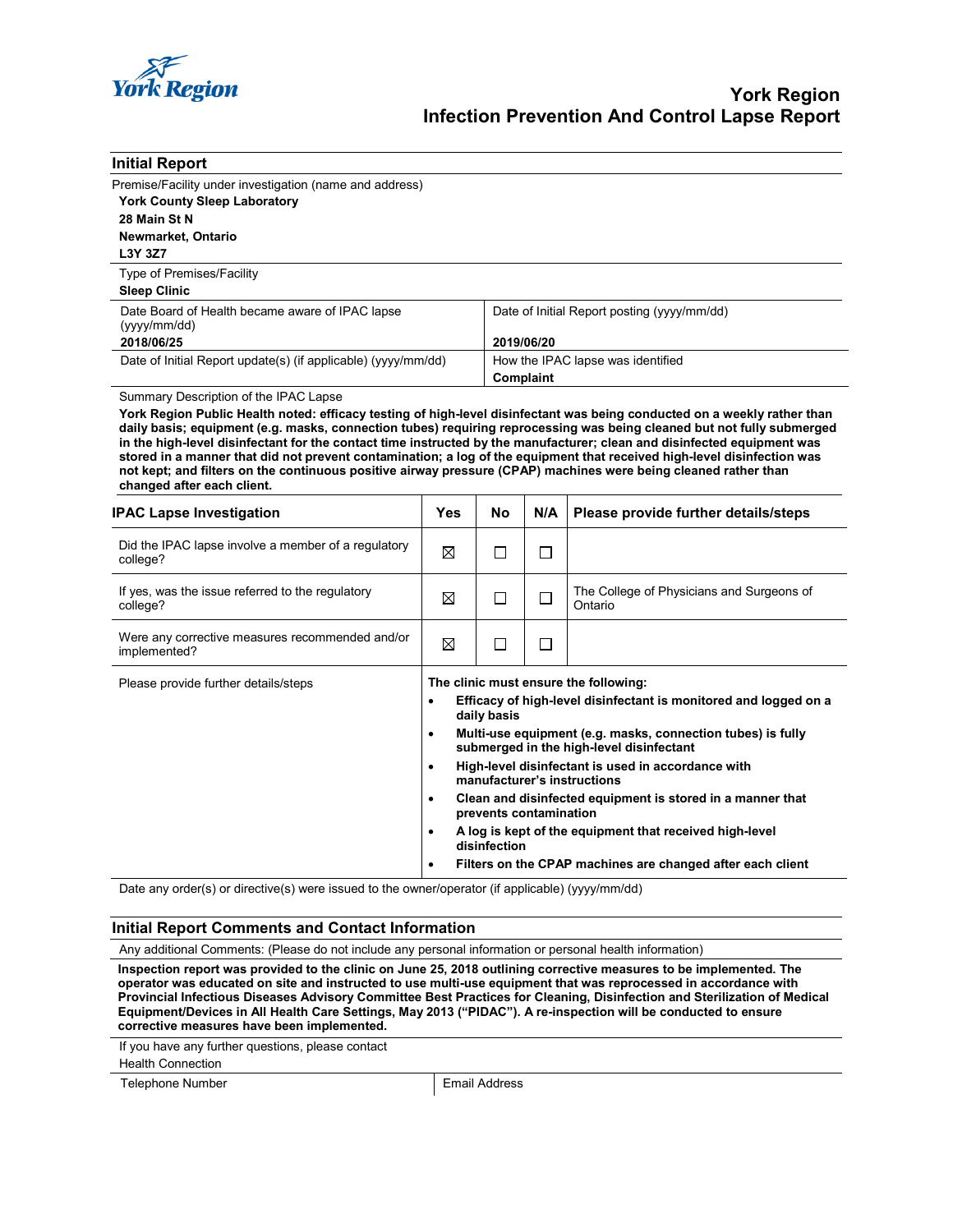

| <b>Initial Report</b>                                                                                                                                                                                                                              |                                                                                                                                                                                                                        |     |                                             |                                                            |  |
|----------------------------------------------------------------------------------------------------------------------------------------------------------------------------------------------------------------------------------------------------|------------------------------------------------------------------------------------------------------------------------------------------------------------------------------------------------------------------------|-----|---------------------------------------------|------------------------------------------------------------|--|
| Premise/Facility under investigation (name and address)                                                                                                                                                                                            |                                                                                                                                                                                                                        |     |                                             |                                                            |  |
| <b>York County Sleep Laboratory</b>                                                                                                                                                                                                                |                                                                                                                                                                                                                        |     |                                             |                                                            |  |
| 28 Main St N                                                                                                                                                                                                                                       |                                                                                                                                                                                                                        |     |                                             |                                                            |  |
| Newmarket, Ontario                                                                                                                                                                                                                                 |                                                                                                                                                                                                                        |     |                                             |                                                            |  |
| L3Y 3Z7                                                                                                                                                                                                                                            |                                                                                                                                                                                                                        |     |                                             |                                                            |  |
| Type of Premises/Facility<br><b>Sleep Clinic</b>                                                                                                                                                                                                   |                                                                                                                                                                                                                        |     |                                             |                                                            |  |
|                                                                                                                                                                                                                                                    |                                                                                                                                                                                                                        |     |                                             |                                                            |  |
| Date Board of Health became aware of IPAC lapse<br>(yyy/mm/dd)                                                                                                                                                                                     |                                                                                                                                                                                                                        |     | Date of Initial Report posting (yyyy/mm/dd) |                                                            |  |
| 2018/06/25                                                                                                                                                                                                                                         |                                                                                                                                                                                                                        |     | 2019/06/20                                  |                                                            |  |
| Date of Initial Report update(s) (if applicable) (yyyy/mm/dd)                                                                                                                                                                                      |                                                                                                                                                                                                                        |     | How the IPAC lapse was identified           |                                                            |  |
|                                                                                                                                                                                                                                                    |                                                                                                                                                                                                                        |     | Complaint                                   |                                                            |  |
| Summary Description of the IPAC Lapse                                                                                                                                                                                                              |                                                                                                                                                                                                                        |     |                                             |                                                            |  |
| York Region Public Health noted: efficacy testing of high-level disinfectant was being conducted on a weekly rather than<br>daily basis; equipment (e.g. masks, connection tubes) requiring reprocessing was being cleaned but not fully submerged |                                                                                                                                                                                                                        |     |                                             |                                                            |  |
| in the high-level disinfectant for the contact time instructed by the manufacturer; clean and disinfected equipment was<br>stored in a manner that did not prevent contamination; a log of the equipment that received high-level disinfection was |                                                                                                                                                                                                                        |     |                                             |                                                            |  |
| not kept; and filters on the continuous positive airway pressure (CPAP) machines were being cleaned rather than                                                                                                                                    |                                                                                                                                                                                                                        |     |                                             |                                                            |  |
| changed after each client.                                                                                                                                                                                                                         |                                                                                                                                                                                                                        |     |                                             |                                                            |  |
| <b>IPAC Lapse Investigation</b>                                                                                                                                                                                                                    | <b>Yes</b>                                                                                                                                                                                                             | No. | N/A                                         | Please provide further details/steps                       |  |
| Did the IPAC lapse involve a member of a regulatory<br>college?                                                                                                                                                                                    | ⊠                                                                                                                                                                                                                      | П   | П                                           |                                                            |  |
| If yes, was the issue referred to the regulatory<br>college?                                                                                                                                                                                       | $\boxtimes$                                                                                                                                                                                                            | П   | □                                           | The College of Physicians and Surgeons of<br>Ontario       |  |
| Were any corrective measures recommended and/or<br>implemented?                                                                                                                                                                                    | ⊠                                                                                                                                                                                                                      | □   | □                                           |                                                            |  |
| Please provide further details/steps                                                                                                                                                                                                               | The clinic must ensure the following:                                                                                                                                                                                  |     |                                             |                                                            |  |
|                                                                                                                                                                                                                                                    | Efficacy of high-level disinfectant is monitored and logged on a<br>$\bullet$<br>daily basis                                                                                                                           |     |                                             |                                                            |  |
|                                                                                                                                                                                                                                                    | Multi-use equipment (e.g. masks, connection tubes) is fully<br>$\bullet$<br>submerged in the high-level disinfectant<br>High-level disinfectant is used in accordance with<br>$\bullet$<br>manufacturer's instructions |     |                                             |                                                            |  |
|                                                                                                                                                                                                                                                    |                                                                                                                                                                                                                        |     |                                             |                                                            |  |
|                                                                                                                                                                                                                                                    |                                                                                                                                                                                                                        |     |                                             |                                                            |  |
|                                                                                                                                                                                                                                                    |                                                                                                                                                                                                                        |     |                                             |                                                            |  |
|                                                                                                                                                                                                                                                    | Clean and disinfected equipment is stored in a manner that<br>$\bullet$<br>prevents contamination                                                                                                                      |     |                                             |                                                            |  |
|                                                                                                                                                                                                                                                    | A log is kept of the equipment that received high-level<br>$\bullet$<br>disinfection                                                                                                                                   |     |                                             |                                                            |  |
|                                                                                                                                                                                                                                                    | $\bullet$                                                                                                                                                                                                              |     |                                             | Filters on the CPAP machines are changed after each client |  |

Date any order(s) or directive(s) were issued to the owner/operator (if applicable) (yyyy/mm/dd)

## **Initial Report Comments and Contact Information**

Any additional Comments: (Please do not include any personal information or personal health information)

**Inspection report was provided to the clinic on June 25, 2018 outlining corrective measures to be implemented. The operator was educated on site and instructed to use multi-use equipment that was reprocessed in accordance with Provincial Infectious Diseases Advisory Committee Best Practices for Cleaning, Disinfection and Sterilization of Medical Equipment/Devices in All Health Care Settings, May 2013 ("PIDAC"). A re-inspection will be conducted to ensure corrective measures have been implemented.**

If you have any further questions, please contact

Health Connection

Telephone Number **Email Address**